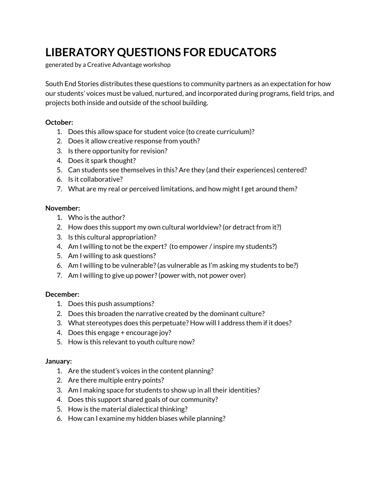# **LIBERATORY QUESTIONS FOR EDUCATORS**

generated by a Creative Advantage workshop

South End Stories distributes these questions to community partners as an expectation for how our students' voices must be valued, nurtured, and incorporated during programs, field trips, and projects both inside and outside of the school building.

#### **October:**

- 1. Does this allow space for student voice (to create curriculum)?
- 2. Does it allow creative response from youth?
- 3. Is there opportunity for revision?
- 4. Does it spark thought?
- 5. Can students see themselves in this? Are they (and their experiences) centered?
- 6. Is it collaborative?
- 7. What are my real or perceived limitations, and how might I get around them?

#### **November:**

- 1. Who is the author?
- 2. How does this support my own cultural worldview?(or detract from it?)
- 3. Is this cultural appropriation?
- 4. Am I willing to not be the expert? (to empower / inspire my students?)
- 5. Am I willing to ask questions?
- 6. Am I willing to be vulnerable?(as vulnerable as I'm asking my students to be?)
- 7. Am I willing to give up power?(power with, not power over)

#### **December:**

- 1. Does this push assumptions?
- 2. Does this broaden the narrative created by the dominant culture?
- 3. What stereotypes does this perpetuate? How will I address them if it does?
- 4. Does this engage + encourage joy?
- 5. How is this relevant to youth culture now?

#### **January:**

- 1. Are the student's voices in the content planning?
- 2. Are there multiple entry points?
- 3. Am I making space for students to show up in all their identities?
- 4. Does this support shared goals of our community?
- 5. How is the material dialectical thinking?
- 6. How can I examine my hidden biases while planning?